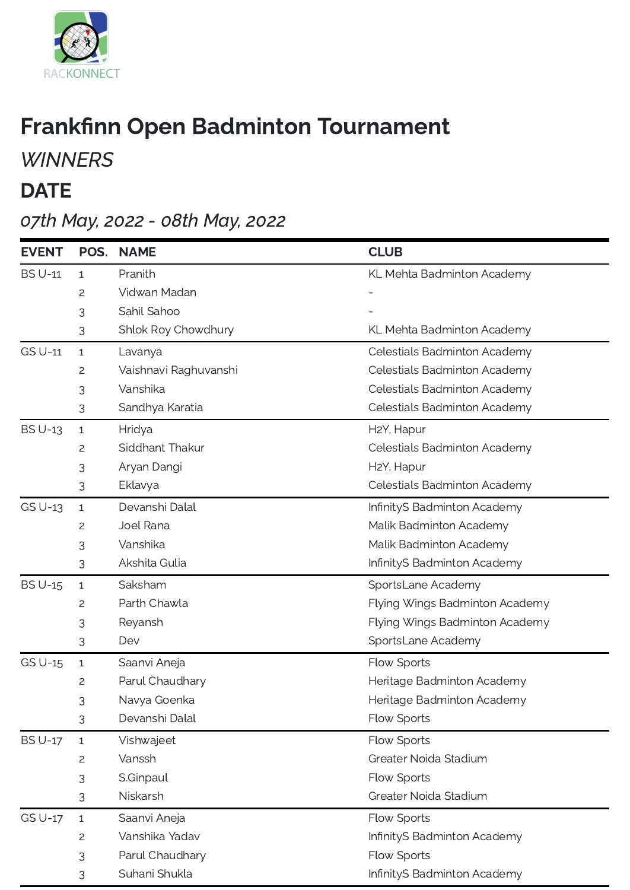

## Frankfinn Open Badminton Tournament

## **WINNERS**

## **DATE**

## 07th May, 2022 - 08th May, 2022

| <b>EVENT</b>   | POS.         | <b>NAME</b>           | <b>CLUB</b>                    |
|----------------|--------------|-----------------------|--------------------------------|
| <b>BS U-11</b> | $\mathbf{1}$ | Pranith               | KL Mehta Badminton Academy     |
|                | 2            | Vidwan Madan          |                                |
|                | 3            | Sahil Sahoo           |                                |
|                | 3            | Shlok Roy Chowdhury   | KL Mehta Badminton Academy     |
| <b>GS U-11</b> | $\mathbf{1}$ | Lavanya               | Celestials Badminton Academy   |
|                | 2            | Vaishnavi Raghuvanshi | Celestials Badminton Academy   |
|                | 3            | Vanshika              | Celestials Badminton Academy   |
|                | 3            | Sandhya Karatia       | Celestials Badminton Academy   |
| <b>BS U-13</b> | $\mathbf{1}$ | Hridya                | H <sub>2</sub> Y, Hapur        |
|                | 2            | Siddhant Thakur       | Celestials Badminton Academy   |
|                | 3            | Aryan Dangi           | H2Y, Hapur                     |
|                | 3            | Eklavya               | Celestials Badminton Academy   |
| GS U-13        | $\mathbf{1}$ | Devanshi Dalal        | InfinityS Badminton Academy    |
|                | 2            | Joel Rana             | Malik Badminton Academy        |
|                | 3            | Vanshika              | Malik Badminton Academy        |
|                | 3            | Akshita Gulia         | InfinityS Badminton Academy    |
| <b>BS U-15</b> | $\mathbf{1}$ | Saksham               | SportsLane Academy             |
|                | 2            | Parth Chawla          | Flying Wings Badminton Academy |
|                | 3            | Reyansh               | Flying Wings Badminton Academy |
|                | 3            | Dev                   | SportsLane Academy             |
| GS U-15        | $\mathbf{1}$ | Saanvi Aneja          | Flow Sports                    |
|                | 2            | Parul Chaudhary       | Heritage Badminton Academy     |
|                | 3            | Navya Goenka          | Heritage Badminton Academy     |
|                | 3            | Devanshi Dalal        | Flow Sports                    |
| <b>BS U-17</b> | $\mathbf{1}$ | Vishwajeet            | Flow Sports                    |
|                | 2            | Vanssh                | Greater Noida Stadium          |
|                | 3            | S.Ginpaul             | Flow Sports                    |
|                | 3            | Niskarsh              | Greater Noida Stadium          |
| <b>GS U-17</b> | $\mathbf{1}$ | Saanvi Aneja          | Flow Sports                    |
|                | 2            | Vanshika Yadav        | InfinityS Badminton Academy    |
|                | 3            | Parul Chaudhary       | Flow Sports                    |
|                | 3            | Suhani Shukla         | InfinityS Badminton Academy    |